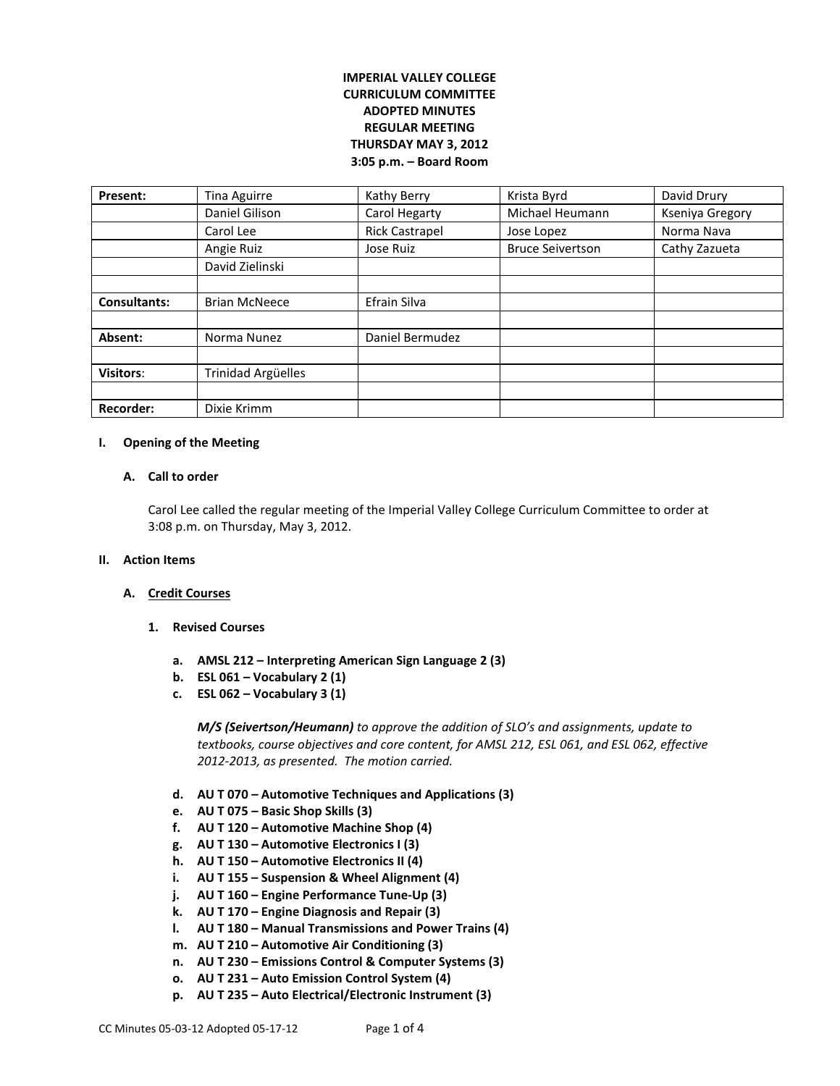# **IMPERIAL VALLEY COLLEGE CURRICULUM COMMITTEE ADOPTED MINUTES REGULAR MEETING THURSDAY MAY 3, 2012 3:05 p.m. – Board Room**

| Present:            | Tina Aguirre              | Kathy Berry           | Krista Byrd             | David Drury     |
|---------------------|---------------------------|-----------------------|-------------------------|-----------------|
|                     | Daniel Gilison            | Carol Hegarty         | Michael Heumann         | Kseniya Gregory |
|                     | Carol Lee                 | <b>Rick Castrapel</b> | Jose Lopez              | Norma Nava      |
|                     | Angie Ruiz                | Jose Ruiz             | <b>Bruce Seivertson</b> | Cathy Zazueta   |
|                     | David Zielinski           |                       |                         |                 |
|                     |                           |                       |                         |                 |
| <b>Consultants:</b> | <b>Brian McNeece</b>      | Efrain Silva          |                         |                 |
|                     |                           |                       |                         |                 |
| Absent:             | Norma Nunez               | Daniel Bermudez       |                         |                 |
|                     |                           |                       |                         |                 |
| <b>Visitors:</b>    | <b>Trinidad Argüelles</b> |                       |                         |                 |
|                     |                           |                       |                         |                 |
| <b>Recorder:</b>    | Dixie Krimm               |                       |                         |                 |

## **I. Opening of the Meeting**

## **A. Call to order**

Carol Lee called the regular meeting of the Imperial Valley College Curriculum Committee to order at 3:08 p.m. on Thursday, May 3, 2012.

## **II. Action Items**

## **A. Credit Courses**

- **1. Revised Courses** 
	- **a. AMSL 212 – Interpreting American Sign Language 2 (3)**
	- **b. ESL 061 – Vocabulary 2 (1)**
	- **c. ESL 062 – Vocabulary 3 (1)**

*M/S (Seivertson/Heumann) to approve the addition of SLO's and assignments, update to textbooks, course objectives and core content, for AMSL 212, ESL 061, and ESL 062, effective 2012-2013, as presented. The motion carried.*

- **d. AU T 070 – Automotive Techniques and Applications (3)**
- **e. AU T 075 – Basic Shop Skills (3)**
- **f. AU T 120 – Automotive Machine Shop (4)**
- **g. AU T 130 – Automotive Electronics I (3)**
- **h. AU T 150 – Automotive Electronics II (4)**
- **i. AU T 155 – Suspension & Wheel Alignment (4)**
- **j. AU T 160 – Engine Performance Tune-Up (3)**
- **k. AU T 170 – Engine Diagnosis and Repair (3)**
- **l. AU T 180 – Manual Transmissions and Power Trains (4)**
- **m. AU T 210 – Automotive Air Conditioning (3)**
- **n. AU T 230 – Emissions Control & Computer Systems (3)**
- **o. AU T 231 – Auto Emission Control System (4)**
- **p. AU T 235 – Auto Electrical/Electronic Instrument (3)**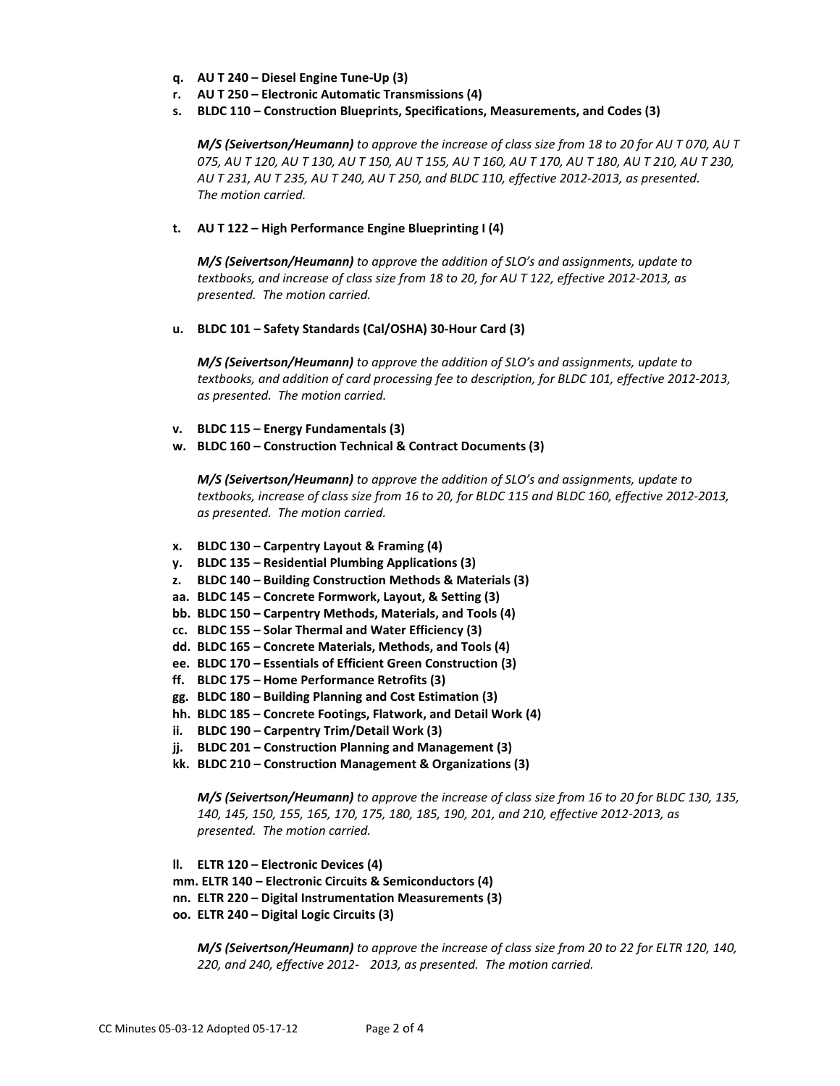- **q. AU T 240 – Diesel Engine Tune-Up (3)**
- **r. AU T 250 – Electronic Automatic Transmissions (4)**
- **s. BLDC 110 – Construction Blueprints, Specifications, Measurements, and Codes (3)**

*M/S (Seivertson/Heumann) to approve the increase of class size from 18 to 20 for AU T 070, AU T 075, AU T 120, AU T 130, AU T 150, AU T 155, AU T 160, AU T 170, AU T 180, AU T 210, AU T 230, AU T 231, AU T 235, AU T 240, AU T 250, and BLDC 110, effective 2012-2013, as presented. The motion carried.*

## **t. AU T 122 – High Performance Engine Blueprinting I (4)**

*M/S (Seivertson/Heumann) to approve the addition of SLO's and assignments, update to textbooks, and increase of class size from 18 to 20, for AU T 122, effective 2012-2013, as presented. The motion carried.*

**u. BLDC 101 – Safety Standards (Cal/OSHA) 30-Hour Card (3)**

*M/S (Seivertson/Heumann) to approve the addition of SLO's and assignments, update to textbooks, and addition of card processing fee to description, for BLDC 101, effective 2012-2013, as presented. The motion carried.*

- **v. BLDC 115 – Energy Fundamentals (3)**
- **w. BLDC 160 – Construction Technical & Contract Documents (3)**

*M/S (Seivertson/Heumann) to approve the addition of SLO's and assignments, update to textbooks, increase of class size from 16 to 20, for BLDC 115 and BLDC 160, effective 2012-2013, as presented. The motion carried.*

- **x. BLDC 130 – Carpentry Layout & Framing (4)**
- **y. BLDC 135 – Residential Plumbing Applications (3)**
- **z. BLDC 140 – Building Construction Methods & Materials (3)**
- **aa. BLDC 145 – Concrete Formwork, Layout, & Setting (3)**
- **bb. BLDC 150 – Carpentry Methods, Materials, and Tools (4)**
- **cc. BLDC 155 – Solar Thermal and Water Efficiency (3)**
- **dd. BLDC 165 – Concrete Materials, Methods, and Tools (4)**
- **ee. BLDC 170 – Essentials of Efficient Green Construction (3)**
- **ff. BLDC 175 – Home Performance Retrofits (3)**
- **gg. BLDC 180 – Building Planning and Cost Estimation (3)**
- **hh. BLDC 185 – Concrete Footings, Flatwork, and Detail Work (4)**
- **ii. BLDC 190 – Carpentry Trim/Detail Work (3)**
- **jj. BLDC 201 – Construction Planning and Management (3)**
- **kk. BLDC 210 – Construction Management & Organizations (3)**

*M/S (Seivertson/Heumann) to approve the increase of class size from 16 to 20 for BLDC 130, 135, 140, 145, 150, 155, 165, 170, 175, 180, 185, 190, 201, and 210, effective 2012-2013, as presented. The motion carried.*

- **ll. ELTR 120 – Electronic Devices (4)**
- **mm. ELTR 140 – Electronic Circuits & Semiconductors (4)**
- **nn. ELTR 220 – Digital Instrumentation Measurements (3)**
- **oo. ELTR 240 – Digital Logic Circuits (3)**

*M/S (Seivertson/Heumann) to approve the increase of class size from 20 to 22 for ELTR 120, 140, 220, and 240, effective 2012- 2013, as presented. The motion carried.*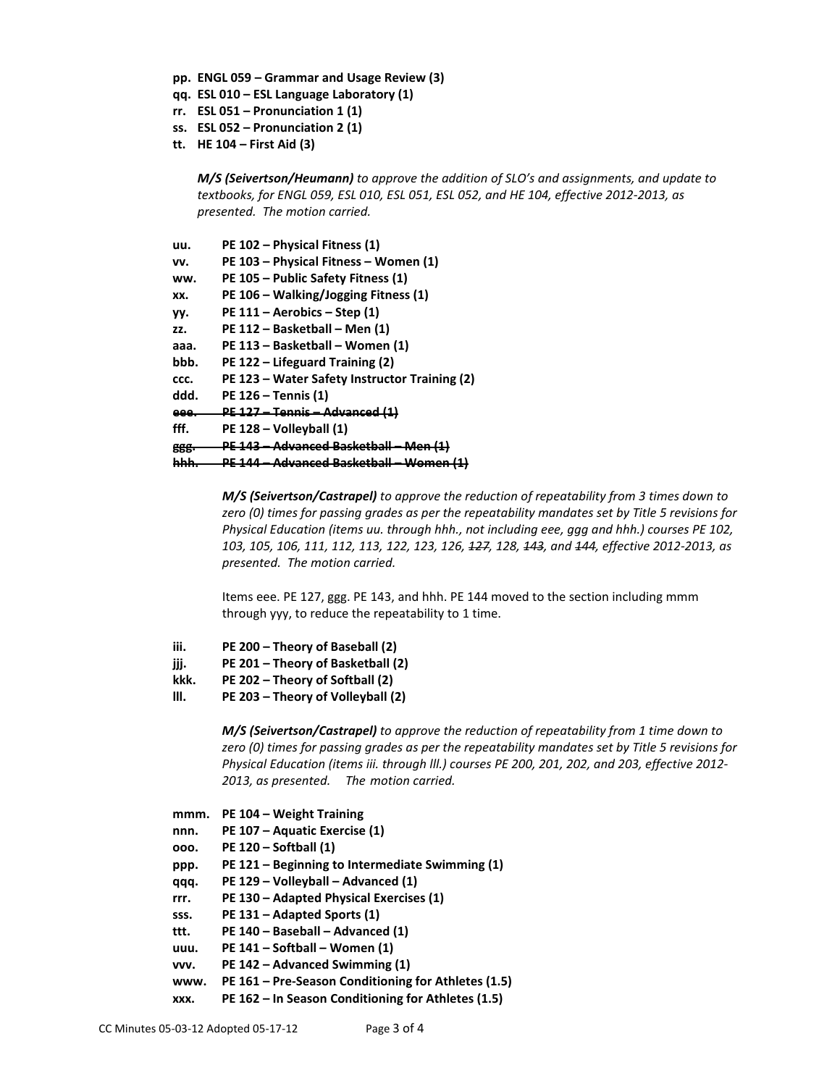- **pp. ENGL 059 – Grammar and Usage Review (3)**
- **qq. ESL 010 – ESL Language Laboratory (1)**
- **rr. ESL 051 – Pronunciation 1 (1)**
- **ss. ESL 052 – Pronunciation 2 (1)**
- **tt. HE 104 – First Aid (3)**

*M/S (Seivertson/Heumann) to approve the addition of SLO's and assignments, and update to textbooks, for ENGL 059, ESL 010, ESL 051, ESL 052, and HE 104, effective 2012-2013, as presented. The motion carried.*

| uu.  | PE 102 - Physical Fitness (1)                 |
|------|-----------------------------------------------|
| VV.  | PE 103 - Physical Fitness - Women (1)         |
| ww.  | PE 105 - Public Safety Fitness (1)            |
| XX.  | PE 106 – Walking/Jogging Fitness (1)          |
| yy.  | $PE 111 - Aerobics - Step (1)$                |
| ZZ.  | PE 112 - Basketball - Men (1)                 |
| ааа. | PE 113 – Basketball – Women (1)               |
| bbb. | PE 122 – Lifeguard Training (2)               |
| CCC. | PE 123 – Water Safety Instructor Training (2) |
| ddd. | <b>PE 126 - Tennis (1)</b>                    |
| eee. | <u> PE 127 – Tennis – Advanced (1)</u>        |
| fff. | PE 128 - Volleyball (1)                       |
| 888. | <u> PE 143 – Advanced Basketball – Men</u>    |
|      | <u> PE 144 – Advanced Basketball – Women</u>  |

*M/S (Seivertson/Castrapel) to approve the reduction of repeatability from 3 times down to zero (0) times for passing grades as per the repeatability mandates set by Title 5 revisions for Physical Education (items uu. through hhh., not including eee, ggg and hhh.) courses PE 102, 103, 105, 106, 111, 112, 113, 122, 123, 126, 127, 128, 143, and 144, effective 2012-2013, as presented. The motion carried.*

Items eee. PE 127, ggg. PE 143, and hhh. PE 144 moved to the section including mmm through yyy, to reduce the repeatability to 1 time.

- **iii. PE 200 – Theory of Baseball (2)**
- **jjj. PE 201 – Theory of Basketball (2)**
- **kkk. PE 202 – Theory of Softball (2)**
- **lll. PE 203 – Theory of Volleyball (2)**

*M/S (Seivertson/Castrapel) to approve the reduction of repeatability from 1 time down to zero (0) times for passing grades as per the repeatability mandates set by Title 5 revisions for Physical Education (items iii. through lll.) courses PE 200, 201, 202, and 203, effective 2012- 2013, as presented. The motion carried.*

- **mmm. PE 104 – Weight Training**
- **nnn. PE 107 – Aquatic Exercise (1)**
- **ooo. PE 120 – Softball (1)**
- **ppp. PE 121 – Beginning to Intermediate Swimming (1)**
- **qqq. PE 129 – Volleyball – Advanced (1)**
- **rrr. PE 130 – Adapted Physical Exercises (1)**
- **sss. PE 131 – Adapted Sports (1)**
- **ttt. PE 140 – Baseball – Advanced (1)**
- **uuu. PE 141 – Softball – Women (1)**
- **vvv. PE 142 – Advanced Swimming (1)**
- **www. PE 161 – Pre-Season Conditioning for Athletes (1.5)**
- **xxx. PE 162 – In Season Conditioning for Athletes (1.5)**